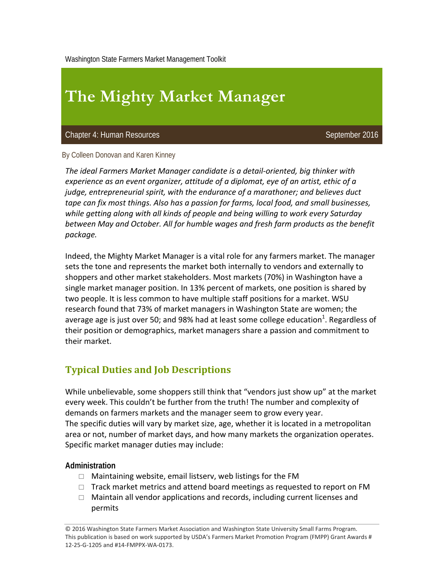Washington State Farmers Market Management Toolkit

# **The Mighty Market Manager**

Chapter 4: Human Resources September 2016

By Colleen Donovan and Karen Kinney

*The ideal Farmers Market Manager candidate is a detail‐oriented, big thinker with experience as an event organizer, attitude of a diplomat, eye of an artist, ethic of a judge, entrepreneurial spirit, with the endurance of a marathoner; and believes duct tape can fix most things. Also has a passion for farms, local food, and small businesses, while getting along with all kinds of people and being willing to work every Saturday between May and October. All for humble wages and fresh farm products as the benefit package.* 

Indeed, the Mighty Market Manager is a vital role for any farmers market. The manager sets the tone and represents the market both internally to vendors and externally to shoppers and other market stakeholders. Most markets (70%) in Washington have a single market manager position. In 13% percent of markets, one position is shared by two people. It is less common to have multiple staff positions for a market. WSU research found that 73% of market managers in Washington State are women; the average age is just over 50; and 98% had at least some college education $^1$ . Regardless of their position or demographics, market managers share a passion and commitment to their market.

## **Typical Duties and Job Descriptions**

While unbelievable, some shoppers still think that "vendors just show up" at the market every week. This couldn't be further from the truth! The number and complexity of demands on farmers markets and the manager seem to grow every year. The specific duties will vary by market size, age, whether it is located in a metropolitan area or not, number of market days, and how many markets the organization operates. Specific market manager duties may include:

#### **Administration**

- $\Box$  Maintaining website, email listserv, web listings for the FM
- $\Box$  Track market metrics and attend board meetings as requested to report on FM
- $\Box$  Maintain all vendor applications and records, including current licenses and permits

© 2016 Washington State Farmers Market Association and Washington State University Small Farms Program. This publication is based on work supported by USDA's Farmers Market Promotion Program (FMPP) Grant Awards # 12‐25‐G‐1205 and #14‐FMPPX‐WA‐0173.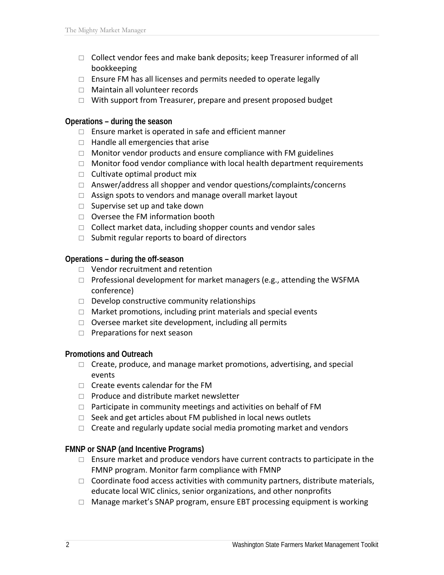- $\Box$  Collect vendor fees and make bank deposits; keep Treasurer informed of all bookkeeping
- $\Box$  Ensure FM has all licenses and permits needed to operate legally
- □ Maintain all volunteer records
- $\Box$  With support from Treasurer, prepare and present proposed budget

#### **Operations – during the season**

- $\Box$  Ensure market is operated in safe and efficient manner
- $\Box$  Handle all emergencies that arise
- $\Box$  Monitor vendor products and ensure compliance with FM guidelines
- $\Box$  Monitor food vendor compliance with local health department requirements
- $\Box$  Cultivate optimal product mix
- $\Box$  Answer/address all shopper and vendor questions/complaints/concerns
- $\Box$  Assign spots to vendors and manage overall market layout
- $\Box$  Supervise set up and take down
- $\Box$  Oversee the FM information booth
- $\Box$  Collect market data, including shopper counts and vendor sales
- $\Box$  Submit regular reports to board of directors

**Operations – during the off-season** 

- □ Vendor recruitment and retention
- $\Box$  Professional development for market managers (e.g., attending the WSFMA conference)
- $\Box$  Develop constructive community relationships
- $\Box$  Market promotions, including print materials and special events
- $\Box$  Oversee market site development, including all permits
- $\Box$  Preparations for next season

#### **Promotions and Outreach**

- $\Box$  Create, produce, and manage market promotions, advertising, and special events
- $\Box$  Create events calendar for the FM
- $\Box$  Produce and distribute market newsletter
- $\Box$  Participate in community meetings and activities on behalf of FM
- $\Box$  Seek and get articles about FM published in local news outlets
- $\Box$  Create and regularly update social media promoting market and vendors

#### **FMNP or SNAP (and Incentive Programs)**

- $\Box$  Ensure market and produce vendors have current contracts to participate in the FMNP program. Monitor farm compliance with FMNP
- $\Box$  Coordinate food access activities with community partners, distribute materials, educate local WIC clinics, senior organizations, and other nonprofits
- $\Box$  Manage market's SNAP program, ensure EBT processing equipment is working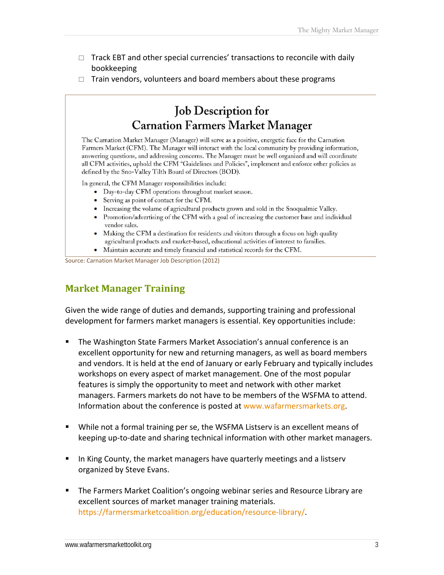- $\Box$  Track EBT and other special currencies' transactions to reconcile with daily bookkeeping
- $\Box$  Train vendors, volunteers and board members about these programs

# **Job Description for Carnation Farmers Market Manager**

The Carnation Market Manager (Manager) will serve as a positive, energetic face for the Carnation Farmers Market (CFM). The Manager will interact with the local community by providing information, answering questions, and addressing concerns. The Manager must be well organized and will coordinate all CFM activities, uphold the CFM "Guidelines and Policies", implement and enforce other policies as defined by the Sno-Valley Tilth Board of Directors (BOD).

In general, the CFM Manager responsibilities include:

- Day-to-day CFM operations throughout market season.
- Serving as point of contact for the CFM.
- Increasing the volume of agricultural products grown and sold in the Snoqualmie Valley.
- Promotion/advertising of the CFM with a goal of increasing the customer base and individual vendor sales.
- Making the CFM a destination for residents and visitors through a focus on high quality agricultural products and market-based, educational activities of interest to families.
- Maintain accurate and timely financial and statistical records for the CFM.

Source: Carnation Market Manager Job Description (2012)

### **Market Manager Training**

Given the wide range of duties and demands, supporting training and professional development for farmers market managers is essential. Key opportunities include:

- The Washington State Farmers Market Association's annual conference is an excellent opportunity for new and returning managers, as well as board members and vendors. It is held at the end of January or early February and typically includes workshops on every aspect of market management. One of the most popular features is simply the opportunity to meet and network with other market managers. Farmers markets do not have to be members of the WSFMA to attend. Information about the conference is posted at www.wafarmersmarkets.org.
- While not a formal training per se, the WSFMA Listserv is an excellent means of keeping up‐to‐date and sharing technical information with other market managers.
- **IFT In King County, the market managers have quarterly meetings and a listservent** organized by Steve Evans.
- **The Farmers Market Coalition's ongoing webinar series and Resource Library are** excellent sources of market manager training materials. https://farmersmarketcoalition.org/education/resource-library/.